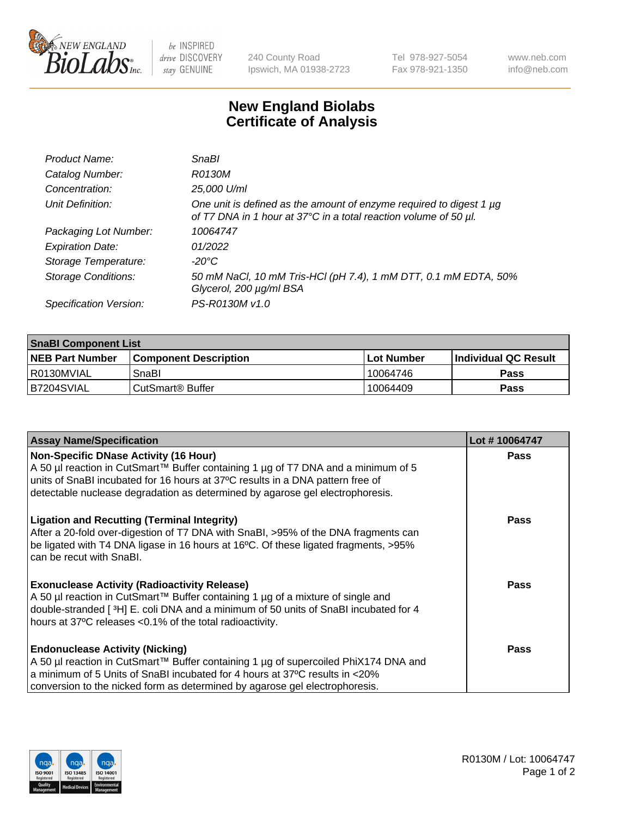

 $be$  INSPIRED drive DISCOVERY stay GENUINE

240 County Road Ipswich, MA 01938-2723 Tel 978-927-5054 Fax 978-921-1350 www.neb.com info@neb.com

## **New England Biolabs Certificate of Analysis**

| Product Name:              | <b>SnaBl</b>                                                                                                                            |
|----------------------------|-----------------------------------------------------------------------------------------------------------------------------------------|
| Catalog Number:            | R0130M                                                                                                                                  |
| Concentration:             | 25,000 U/ml                                                                                                                             |
| Unit Definition:           | One unit is defined as the amount of enzyme required to digest 1 µg<br>of T7 DNA in 1 hour at 37°C in a total reaction volume of 50 µl. |
| Packaging Lot Number:      | 10064747                                                                                                                                |
| <b>Expiration Date:</b>    | 01/2022                                                                                                                                 |
| Storage Temperature:       | -20°C                                                                                                                                   |
| <b>Storage Conditions:</b> | 50 mM NaCl, 10 mM Tris-HCl (pH 7.4), 1 mM DTT, 0.1 mM EDTA, 50%<br>Glycerol, 200 µg/ml BSA                                              |
| Specification Version:     | PS-R0130M v1.0                                                                                                                          |

| <b>SnaBI Component List</b> |                              |              |                       |  |
|-----------------------------|------------------------------|--------------|-----------------------|--|
| <b>NEB Part Number</b>      | <b>Component Description</b> | l Lot Number | ∣Individual QC Result |  |
| I R0130MVIAL                | SnaBl                        | 10064746     | Pass                  |  |
| B7204SVIAL                  | l CutSmart® Buffer           | 10064409     | Pass                  |  |

| <b>Assay Name/Specification</b>                                                                                                                                                                                                                                                                      | Lot #10064747 |
|------------------------------------------------------------------------------------------------------------------------------------------------------------------------------------------------------------------------------------------------------------------------------------------------------|---------------|
| <b>Non-Specific DNase Activity (16 Hour)</b><br>A 50 µl reaction in CutSmart™ Buffer containing 1 µg of T7 DNA and a minimum of 5<br>units of SnaBI incubated for 16 hours at 37°C results in a DNA pattern free of<br>detectable nuclease degradation as determined by agarose gel electrophoresis. | <b>Pass</b>   |
| <b>Ligation and Recutting (Terminal Integrity)</b><br>After a 20-fold over-digestion of T7 DNA with SnaBI, >95% of the DNA fragments can<br>be ligated with T4 DNA ligase in 16 hours at 16°C. Of these ligated fragments, >95%<br>can be recut with SnaBI.                                          | Pass          |
| <b>Exonuclease Activity (Radioactivity Release)</b><br>A 50 µl reaction in CutSmart™ Buffer containing 1 µg of a mixture of single and<br>double-stranded [3H] E. coli DNA and a minimum of 50 units of SnaBI incubated for 4<br>hours at 37°C releases <0.1% of the total radioactivity.            | Pass          |
| <b>Endonuclease Activity (Nicking)</b><br>A 50 µl reaction in CutSmart™ Buffer containing 1 µg of supercoiled PhiX174 DNA and<br>a minimum of 5 Units of SnaBI incubated for 4 hours at 37°C results in <20%<br>conversion to the nicked form as determined by agarose gel electrophoresis.          | Pass          |